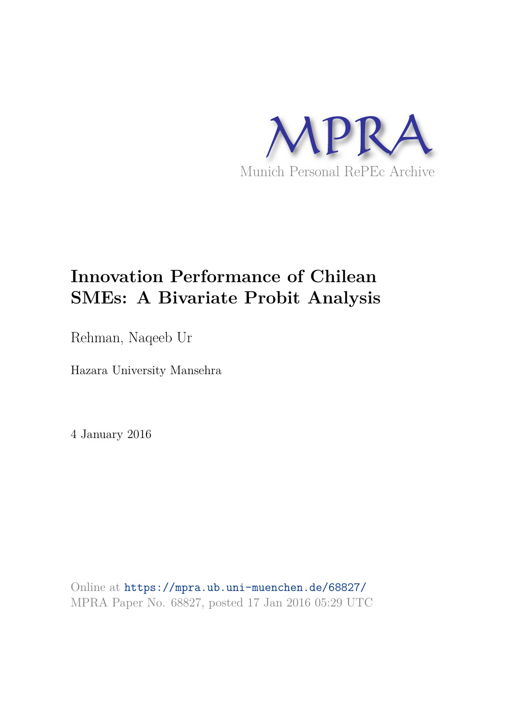

# **Innovation Performance of Chilean SMEs: A Bivariate Probit Analysis**

Rehman, Naqeeb Ur

Hazara University Mansehra

4 January 2016

Online at https://mpra.ub.uni-muenchen.de/68827/ MPRA Paper No. 68827, posted 17 Jan 2016 05:29 UTC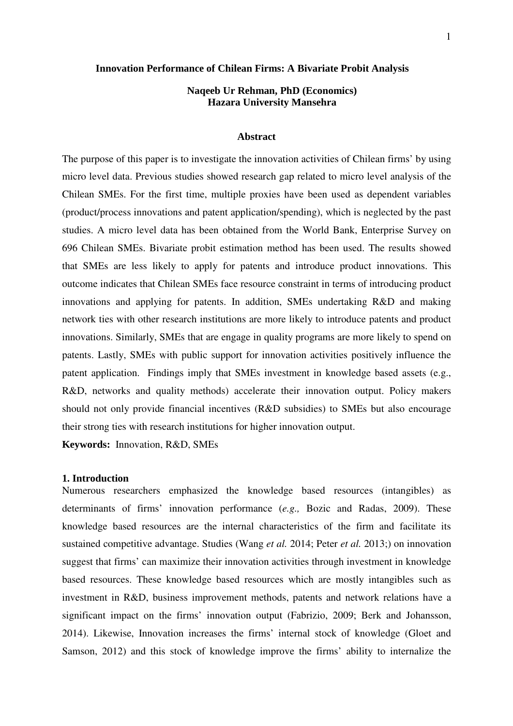#### **Innovation Performance of Chilean Firms: A Bivariate Probit Analysis**

## **Naqeeb Ur Rehman, PhD (Economics) Hazara University Mansehra**

## **Abstract**

The purpose of this paper is to investigate the innovation activities of Chilean firms' by using micro level data. Previous studies showed research gap related to micro level analysis of the Chilean SMEs. For the first time, multiple proxies have been used as dependent variables (product/process innovations and patent application/spending), which is neglected by the past studies. A micro level data has been obtained from the World Bank, Enterprise Survey on 696 Chilean SMEs. Bivariate probit estimation method has been used. The results showed that SMEs are less likely to apply for patents and introduce product innovations. This outcome indicates that Chilean SMEs face resource constraint in terms of introducing product innovations and applying for patents. In addition, SMEs undertaking R&D and making network ties with other research institutions are more likely to introduce patents and product innovations. Similarly, SMEs that are engage in quality programs are more likely to spend on patents. Lastly, SMEs with public support for innovation activities positively influence the patent application. Findings imply that SMEs investment in knowledge based assets (e.g., R&D, networks and quality methods) accelerate their innovation output. Policy makers should not only provide financial incentives (R&D subsidies) to SMEs but also encourage their strong ties with research institutions for higher innovation output.

**Keywords:** Innovation, R&D, SMEs

#### **1. Introduction**

Numerous researchers emphasized the knowledge based resources (intangibles) as determinants of firms' innovation performance (*e.g.,* Bozic and Radas, 2009). These knowledge based resources are the internal characteristics of the firm and facilitate its sustained competitive advantage. Studies (Wang *et al.* 2014; Peter *et al.* 2013;) on innovation suggest that firms' can maximize their innovation activities through investment in knowledge based resources. These knowledge based resources which are mostly intangibles such as investment in R&D, business improvement methods, patents and network relations have a significant impact on the firms' innovation output (Fabrizio, 2009; Berk and Johansson, 2014). Likewise, Innovation increases the firms' internal stock of knowledge (Gloet and Samson, 2012) and this stock of knowledge improve the firms' ability to internalize the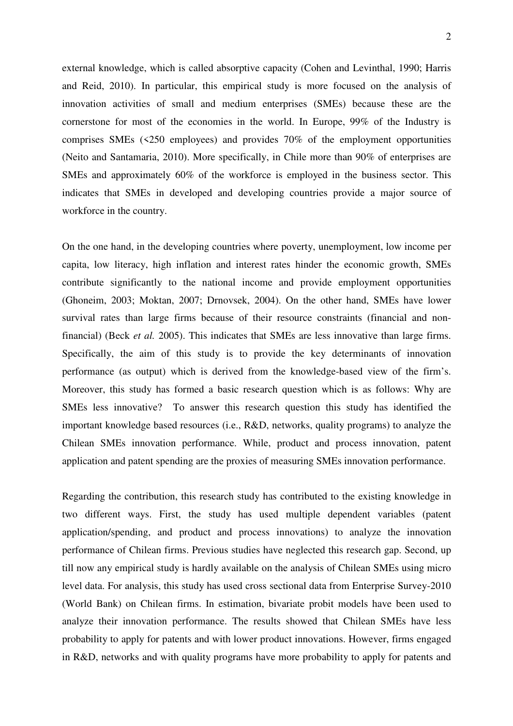external knowledge, which is called absorptive capacity (Cohen and Levinthal, 1990; Harris and Reid, 2010). In particular, this empirical study is more focused on the analysis of innovation activities of small and medium enterprises (SMEs) because these are the cornerstone for most of the economies in the world. In Europe, 99% of the Industry is comprises SMEs (<250 employees) and provides 70% of the employment opportunities (Neito and Santamaria, 2010). More specifically, in Chile more than 90% of enterprises are SMEs and approximately 60% of the workforce is employed in the business sector. This indicates that SMEs in developed and developing countries provide a major source of workforce in the country.

On the one hand, in the developing countries where poverty, unemployment, low income per capita, low literacy, high inflation and interest rates hinder the economic growth, SMEs contribute significantly to the national income and provide employment opportunities (Ghoneim, 2003; Moktan, 2007; Drnovsek, 2004). On the other hand, SMEs have lower survival rates than large firms because of their resource constraints (financial and nonfinancial) (Beck *et al.* 2005). This indicates that SMEs are less innovative than large firms. Specifically, the aim of this study is to provide the key determinants of innovation performance (as output) which is derived from the knowledge-based view of the firm's. Moreover, this study has formed a basic research question which is as follows: Why are SMEs less innovative? To answer this research question this study has identified the important knowledge based resources (i.e., R&D, networks, quality programs) to analyze the Chilean SMEs innovation performance. While, product and process innovation, patent application and patent spending are the proxies of measuring SMEs innovation performance.

Regarding the contribution, this research study has contributed to the existing knowledge in two different ways. First, the study has used multiple dependent variables (patent application/spending, and product and process innovations) to analyze the innovation performance of Chilean firms. Previous studies have neglected this research gap. Second, up till now any empirical study is hardly available on the analysis of Chilean SMEs using micro level data. For analysis, this study has used cross sectional data from Enterprise Survey-2010 (World Bank) on Chilean firms. In estimation, bivariate probit models have been used to analyze their innovation performance. The results showed that Chilean SMEs have less probability to apply for patents and with lower product innovations. However, firms engaged in R&D, networks and with quality programs have more probability to apply for patents and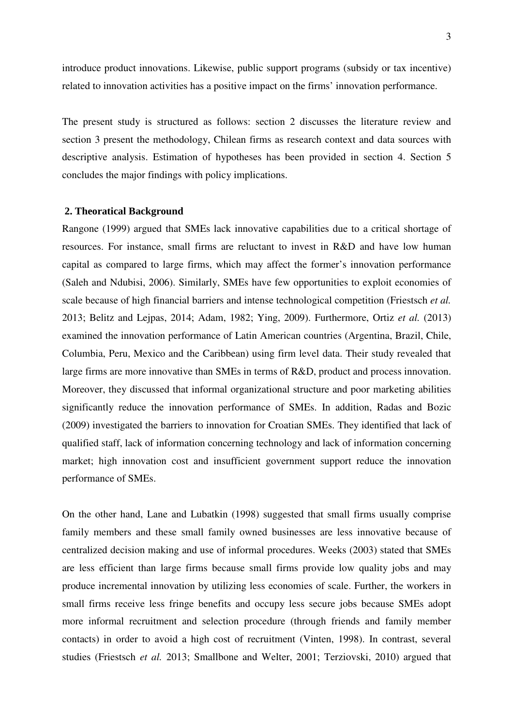introduce product innovations. Likewise, public support programs (subsidy or tax incentive) related to innovation activities has a positive impact on the firms' innovation performance.

The present study is structured as follows: section 2 discusses the literature review and section 3 present the methodology, Chilean firms as research context and data sources with descriptive analysis. Estimation of hypotheses has been provided in section 4. Section 5 concludes the major findings with policy implications.

## **2. Theoratical Background**

Rangone (1999) argued that SMEs lack innovative capabilities due to a critical shortage of resources. For instance, small firms are reluctant to invest in R&D and have low human capital as compared to large firms, which may affect the former's innovation performance (Saleh and Ndubisi, 2006). Similarly, SMEs have few opportunities to exploit economies of scale because of high financial barriers and intense technological competition (Friestsch *et al.* 2013; Belitz and Lejpas, 2014; Adam, 1982; Ying, 2009). Furthermore, Ortiz *et al.* (2013) examined the innovation performance of Latin American countries (Argentina, Brazil, Chile, Columbia, Peru, Mexico and the Caribbean) using firm level data. Their study revealed that large firms are more innovative than SMEs in terms of R&D, product and process innovation. Moreover, they discussed that informal organizational structure and poor marketing abilities significantly reduce the innovation performance of SMEs. In addition, Radas and Bozic (2009) investigated the barriers to innovation for Croatian SMEs. They identified that lack of qualified staff, lack of information concerning technology and lack of information concerning market; high innovation cost and insufficient government support reduce the innovation performance of SMEs.

On the other hand, Lane and Lubatkin (1998) suggested that small firms usually comprise family members and these small family owned businesses are less innovative because of centralized decision making and use of informal procedures. Weeks (2003) stated that SMEs are less efficient than large firms because small firms provide low quality jobs and may produce incremental innovation by utilizing less economies of scale. Further, the workers in small firms receive less fringe benefits and occupy less secure jobs because SMEs adopt more informal recruitment and selection procedure (through friends and family member contacts) in order to avoid a high cost of recruitment (Vinten, 1998). In contrast, several studies (Friestsch *et al.* 2013; Smallbone and Welter, 2001; Terziovski, 2010) argued that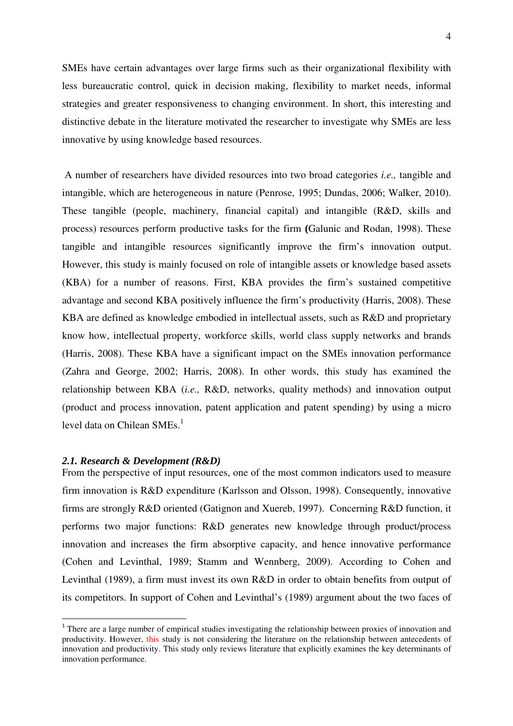SMEs have certain advantages over large firms such as their organizational flexibility with less bureaucratic control, quick in decision making, flexibility to market needs, informal strategies and greater responsiveness to changing environment. In short, this interesting and distinctive debate in the literature motivated the researcher to investigate why SMEs are less innovative by using knowledge based resources.

 A number of researchers have divided resources into two broad categories *i.e.,* tangible and intangible, which are heterogeneous in nature (Penrose, 1995; Dundas, 2006; Walker, 2010). These tangible (people, machinery, financial capital) and intangible (R&D, skills and process) resources perform productive tasks for the firm **(**Galunic and Rodan, 1998). These tangible and intangible resources significantly improve the firm's innovation output. However, this study is mainly focused on role of intangible assets or knowledge based assets (KBA) for a number of reasons. First, KBA provides the firm's sustained competitive advantage and second KBA positively influence the firm's productivity (Harris, 2008). These KBA are defined as knowledge embodied in intellectual assets, such as R&D and proprietary know how, intellectual property, workforce skills, world class supply networks and brands (Harris, 2008). These KBA have a significant impact on the SMEs innovation performance (Zahra and George, 2002; Harris, 2008). In other words, this study has examined the relationship between KBA (*i.e.,* R&D, networks, quality methods) and innovation output (product and process innovation, patent application and patent spending) by using a micro level data on Chilean SMEs. $^1$ 

#### *2.1. Research & Development (R&D)*

 $\overline{a}$ 

From the perspective of input resources, one of the most common indicators used to measure firm innovation is R&D expenditure (Karlsson and Olsson, 1998). Consequently, innovative firms are strongly R&D oriented (Gatignon and Xuereb, 1997). Concerning R&D function, it performs two major functions: R&D generates new knowledge through product/process innovation and increases the firm absorptive capacity, and hence innovative performance (Cohen and Levinthal, 1989; Stamm and Wennberg, 2009). According to Cohen and Levinthal (1989), a firm must invest its own R&D in order to obtain benefits from output of its competitors. In support of Cohen and Levinthal's (1989) argument about the two faces of

 $1$ <sup>1</sup> There are a large number of empirical studies investigating the relationship between proxies of innovation and productivity. However, this study is not considering the literature on the relationship between antecedents of innovation and productivity. This study only reviews literature that explicitly examines the key determinants of innovation performance.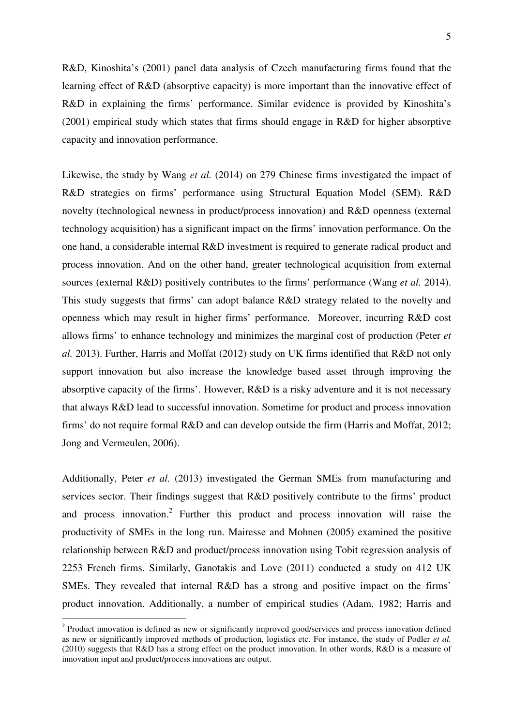R&D, Kinoshita's (2001) panel data analysis of Czech manufacturing firms found that the learning effect of R&D (absorptive capacity) is more important than the innovative effect of R&D in explaining the firms' performance. Similar evidence is provided by Kinoshita's (2001) empirical study which states that firms should engage in R&D for higher absorptive capacity and innovation performance.

Likewise, the study by Wang *et al.* (2014) on 279 Chinese firms investigated the impact of R&D strategies on firms' performance using Structural Equation Model (SEM). R&D novelty (technological newness in product/process innovation) and R&D openness (external technology acquisition) has a significant impact on the firms' innovation performance. On the one hand, a considerable internal R&D investment is required to generate radical product and process innovation. And on the other hand, greater technological acquisition from external sources (external R&D) positively contributes to the firms' performance (Wang *et al.* 2014). This study suggests that firms' can adopt balance R&D strategy related to the novelty and openness which may result in higher firms' performance. Moreover, incurring R&D cost allows firms' to enhance technology and minimizes the marginal cost of production (Peter *et al.* 2013). Further, Harris and Moffat (2012) study on UK firms identified that R&D not only support innovation but also increase the knowledge based asset through improving the absorptive capacity of the firms'. However, R&D is a risky adventure and it is not necessary that always R&D lead to successful innovation. Sometime for product and process innovation firms' do not require formal R&D and can develop outside the firm (Harris and Moffat, 2012; Jong and Vermeulen, 2006).

Additionally, Peter *et al.* (2013) investigated the German SMEs from manufacturing and services sector. Their findings suggest that R&D positively contribute to the firms' product and process innovation.<sup>2</sup> Further this product and process innovation will raise the productivity of SMEs in the long run. Mairesse and Mohnen (2005) examined the positive relationship between R&D and product/process innovation using Tobit regression analysis of 2253 French firms. Similarly, Ganotakis and Love (2011) conducted a study on 412 UK SMEs. They revealed that internal R&D has a strong and positive impact on the firms' product innovation. Additionally, a number of empirical studies (Adam, 1982; Harris and

 $\overline{a}$ 

<sup>&</sup>lt;sup>2</sup> Product innovation is defined as new or significantly improved good/services and process innovation defined as new or significantly improved methods of production, logistics etc. For instance, the study of Podler *et al.* (2010) suggests that R&D has a strong effect on the product innovation. In other words, R&D is a measure of innovation input and product/process innovations are output.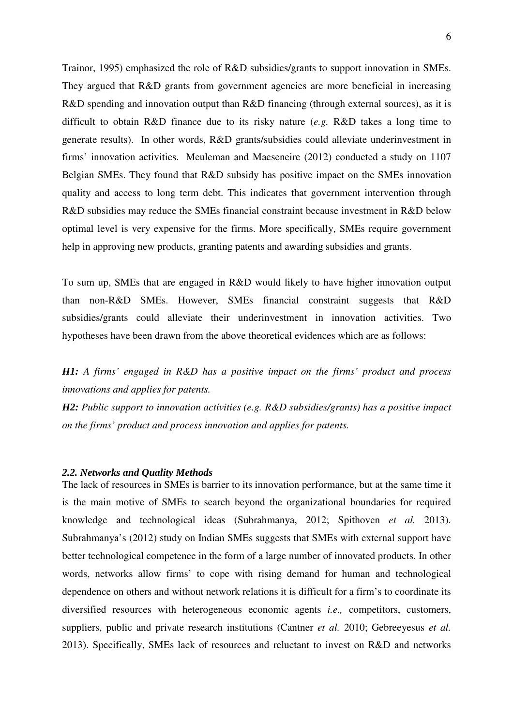Trainor, 1995) emphasized the role of R&D subsidies/grants to support innovation in SMEs. They argued that R&D grants from government agencies are more beneficial in increasing R&D spending and innovation output than R&D financing (through external sources), as it is difficult to obtain R&D finance due to its risky nature (*e.g.* R&D takes a long time to generate results). In other words, R&D grants/subsidies could alleviate underinvestment in firms' innovation activities. Meuleman and Maeseneire (2012) conducted a study on 1107 Belgian SMEs. They found that R&D subsidy has positive impact on the SMEs innovation quality and access to long term debt. This indicates that government intervention through R&D subsidies may reduce the SMEs financial constraint because investment in R&D below optimal level is very expensive for the firms. More specifically, SMEs require government help in approving new products, granting patents and awarding subsidies and grants.

To sum up, SMEs that are engaged in R&D would likely to have higher innovation output than non-R&D SMEs. However, SMEs financial constraint suggests that R&D subsidies/grants could alleviate their underinvestment in innovation activities. Two hypotheses have been drawn from the above theoretical evidences which are as follows:

*H1: A firms' engaged in R&D has a positive impact on the firms' product and process innovations and applies for patents.* 

*H2: Public support to innovation activities (e.g. R&D subsidies/grants) has a positive impact on the firms' product and process innovation and applies for patents.* 

#### *2.2. Networks and Quality Methods*

The lack of resources in SMEs is barrier to its innovation performance, but at the same time it is the main motive of SMEs to search beyond the organizational boundaries for required knowledge and technological ideas (Subrahmanya, 2012; Spithoven *et al.* 2013). Subrahmanya's (2012) study on Indian SMEs suggests that SMEs with external support have better technological competence in the form of a large number of innovated products. In other words, networks allow firms' to cope with rising demand for human and technological dependence on others and without network relations it is difficult for a firm's to coordinate its diversified resources with heterogeneous economic agents *i.e.,* competitors, customers, suppliers, public and private research institutions (Cantner *et al.* 2010; Gebreeyesus *et al.* 2013). Specifically, SMEs lack of resources and reluctant to invest on R&D and networks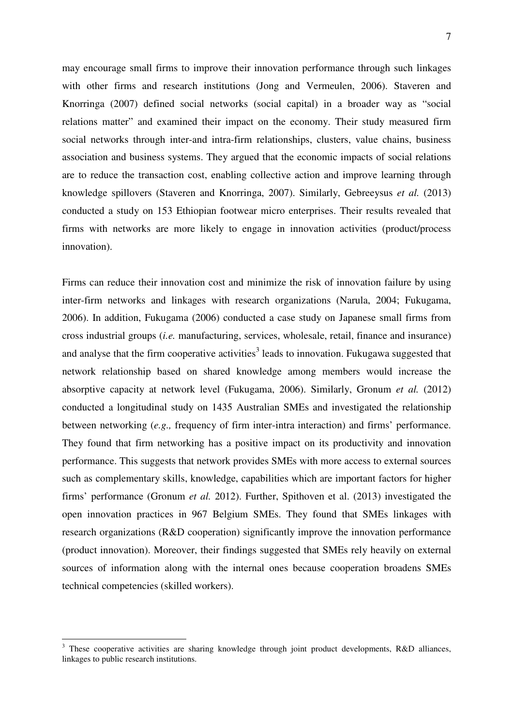may encourage small firms to improve their innovation performance through such linkages with other firms and research institutions (Jong and Vermeulen, 2006). Staveren and Knorringa (2007) defined social networks (social capital) in a broader way as "social relations matter" and examined their impact on the economy. Their study measured firm social networks through inter-and intra-firm relationships, clusters, value chains, business association and business systems. They argued that the economic impacts of social relations are to reduce the transaction cost, enabling collective action and improve learning through knowledge spillovers (Staveren and Knorringa, 2007). Similarly, Gebreeysus *et al.* (2013) conducted a study on 153 Ethiopian footwear micro enterprises. Their results revealed that firms with networks are more likely to engage in innovation activities (product/process innovation).

Firms can reduce their innovation cost and minimize the risk of innovation failure by using inter-firm networks and linkages with research organizations (Narula, 2004; Fukugama, 2006). In addition, Fukugama (2006) conducted a case study on Japanese small firms from cross industrial groups (*i.e.* manufacturing, services, wholesale, retail, finance and insurance) and analyse that the firm cooperative activities<sup>3</sup> leads to innovation. Fukugawa suggested that network relationship based on shared knowledge among members would increase the absorptive capacity at network level (Fukugama, 2006). Similarly, Gronum *et al.* (2012) conducted a longitudinal study on 1435 Australian SMEs and investigated the relationship between networking (*e.g.,* frequency of firm inter-intra interaction) and firms' performance. They found that firm networking has a positive impact on its productivity and innovation performance. This suggests that network provides SMEs with more access to external sources such as complementary skills, knowledge, capabilities which are important factors for higher firms' performance (Gronum *et al.* 2012). Further, Spithoven et al. (2013) investigated the open innovation practices in 967 Belgium SMEs. They found that SMEs linkages with research organizations (R&D cooperation) significantly improve the innovation performance (product innovation). Moreover, their findings suggested that SMEs rely heavily on external sources of information along with the internal ones because cooperation broadens SMEs technical competencies (skilled workers).

 $\overline{a}$ 

<sup>&</sup>lt;sup>3</sup> These cooperative activities are sharing knowledge through joint product developments, R&D alliances, linkages to public research institutions.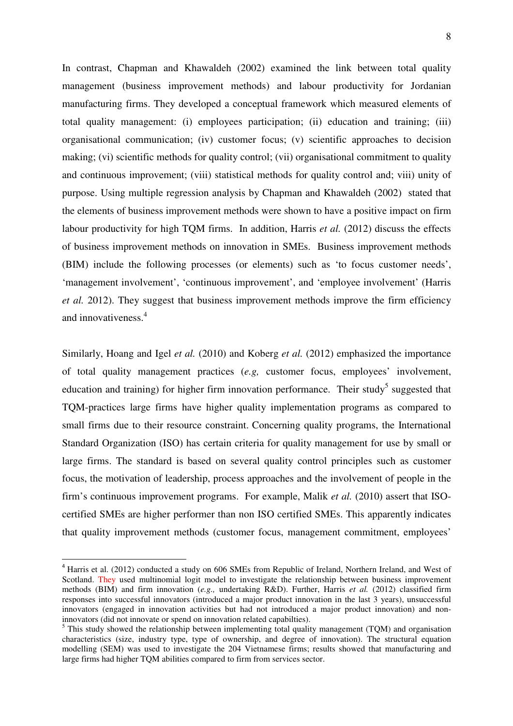In contrast, Chapman and Khawaldeh (2002) examined the link between total quality management (business improvement methods) and labour productivity for Jordanian manufacturing firms. They developed a conceptual framework which measured elements of total quality management: (i) employees participation; (ii) education and training; (iii) organisational communication; (iv) customer focus; (v) scientific approaches to decision making; (vi) scientific methods for quality control; (vii) organisational commitment to quality and continuous improvement; (viii) statistical methods for quality control and; viii) unity of purpose. Using multiple regression analysis by Chapman and Khawaldeh (2002) stated that the elements of business improvement methods were shown to have a positive impact on firm labour productivity for high TQM firms. In addition, Harris *et al.* (2012) discuss the effects of business improvement methods on innovation in SMEs. Business improvement methods (BIM) include the following processes (or elements) such as 'to focus customer needs', 'management involvement', 'continuous improvement', and 'employee involvement' (Harris *et al.* 2012). They suggest that business improvement methods improve the firm efficiency and innovativeness.<sup>4</sup>

Similarly, Hoang and Igel *et al.* (2010) and Koberg *et al.* (2012) emphasized the importance of total quality management practices (*e.g,* customer focus, employees' involvement, education and training) for higher firm innovation performance. Their study<sup>5</sup> suggested that TQM-practices large firms have higher quality implementation programs as compared to small firms due to their resource constraint. Concerning quality programs, the International Standard Organization (ISO) has certain criteria for quality management for use by small or large firms. The standard is based on several quality control principles such as customer focus, the motivation of leadership, process approaches and the involvement of people in the firm's continuous improvement programs. For example, Malik *et al.* (2010) assert that ISOcertified SMEs are higher performer than non ISO certified SMEs. This apparently indicates that quality improvement methods (customer focus, management commitment, employees'

 $\overline{a}$ 

<sup>4</sup> Harris et al. (2012) conducted a study on 606 SMEs from Republic of Ireland, Northern Ireland, and West of Scotland. They used multinomial logit model to investigate the relationship between business improvement methods (BIM) and firm innovation (*e.g.,* undertaking R&D). Further, Harris *et al.* (2012) classified firm responses into successful innovators (introduced a major product innovation in the last 3 years), unsuccessful innovators (engaged in innovation activities but had not introduced a major product innovation) and noninnovators (did not innovate or spend on innovation related capabilties).

 $<sup>5</sup>$  This study showed the relationship between implementing total quality management (TQM) and organisation</sup> characteristics (size, industry type, type of ownership, and degree of innovation). The structural equation modelling (SEM) was used to investigate the 204 Vietnamese firms; results showed that manufacturing and large firms had higher TQM abilities compared to firm from services sector.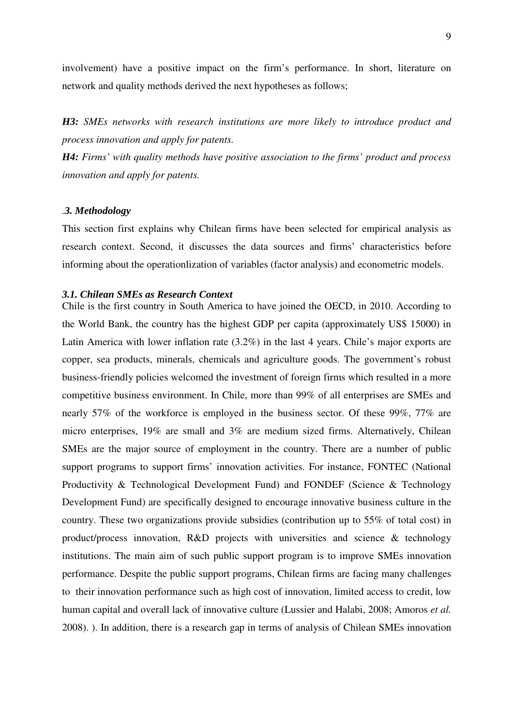involvement) have a positive impact on the firm's performance. In short, literature on network and quality methods derived the next hypotheses as follows;

*H3: SMEs networks with research institutions are more likely to introduce product and process innovation and apply for patents.* 

*H4: Firms' with quality methods have positive association to the firms' product and process innovation and apply for patents.* 

#### *.3. Methodology*

This section first explains why Chilean firms have been selected for empirical analysis as research context. Second, it discusses the data sources and firms' characteristics before informing about the operationlization of variables (factor analysis) and econometric models.

## *3.1. Chilean SMEs as Research Context*

Chile is the first country in South America to have joined the OECD, in 2010. According to the World Bank, the country has the highest GDP per capita (approximately US\$ 15000) in Latin America with lower inflation rate (3.2%) in the last 4 years. Chile's major exports are copper, sea products, minerals, chemicals and agriculture goods. The government's robust business-friendly policies welcomed the investment of foreign firms which resulted in a more competitive business environment. In Chile, more than 99% of all enterprises are SMEs and nearly 57% of the workforce is employed in the business sector. Of these 99%, 77% are micro enterprises, 19% are small and 3% are medium sized firms. Alternatively, Chilean SMEs are the major source of employment in the country. There are a number of public support programs to support firms' innovation activities. For instance, FONTEC (National Productivity & Technological Development Fund) and FONDEF (Science & Technology Development Fund) are specifically designed to encourage innovative business culture in the country. These two organizations provide subsidies (contribution up to 55% of total cost) in product/process innovation, R&D projects with universities and science & technology institutions. The main aim of such public support program is to improve SMEs innovation performance. Despite the public support programs, Chilean firms are facing many challenges to their innovation performance such as high cost of innovation, limited access to credit, low human capital and overall lack of innovative culture (Lussier and Halabi, 2008; Amoros *et al.* 2008). ). In addition, there is a research gap in terms of analysis of Chilean SMEs innovation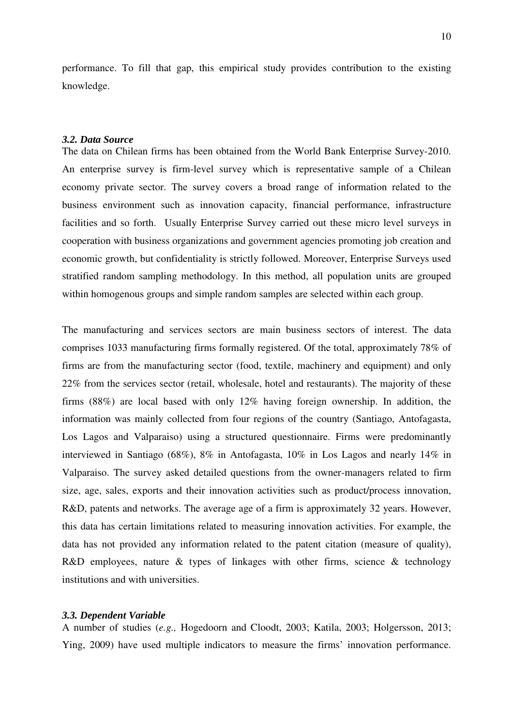performance. To fill that gap, this empirical study provides contribution to the existing knowledge.

## *3.2. Data Source*

The data on Chilean firms has been obtained from the World Bank Enterprise Survey-2010. An enterprise survey is firm-level survey which is representative sample of a Chilean economy private sector. The survey covers a broad range of information related to the business environment such as innovation capacity, financial performance, infrastructure facilities and so forth. Usually Enterprise Survey carried out these micro level surveys in cooperation with business organizations and government agencies promoting job creation and economic growth, but confidentiality is strictly followed. Moreover, Enterprise Surveys used stratified random sampling methodology. In this method, all population units are grouped within homogenous groups and simple random samples are selected within each group.

The manufacturing and services sectors are main business sectors of interest. The data comprises 1033 manufacturing firms formally registered. Of the total, approximately 78% of firms are from the manufacturing sector (food, textile, machinery and equipment) and only 22% from the services sector (retail, wholesale, hotel and restaurants). The majority of these firms (88%) are local based with only 12% having foreign ownership. In addition, the information was mainly collected from four regions of the country (Santiago, Antofagasta, Los Lagos and Valparaiso) using a structured questionnaire. Firms were predominantly interviewed in Santiago (68%), 8% in Antofagasta, 10% in Los Lagos and nearly 14% in Valparaiso. The survey asked detailed questions from the owner-managers related to firm size, age, sales, exports and their innovation activities such as product/process innovation, R&D, patents and networks. The average age of a firm is approximately 32 years. However, this data has certain limitations related to measuring innovation activities. For example, the data has not provided any information related to the patent citation (measure of quality), R&D employees, nature & types of linkages with other firms, science & technology institutions and with universities.

#### *3.3. Dependent Variable*

A number of studies (*e.g.,* Hogedoorn and Cloodt, 2003; Katila, 2003; Holgersson, 2013; Ying, 2009) have used multiple indicators to measure the firms' innovation performance.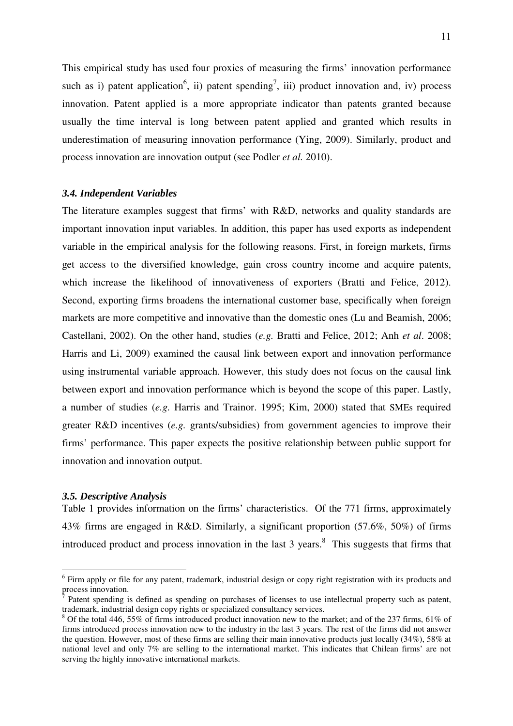This empirical study has used four proxies of measuring the firms' innovation performance such as i) patent application<sup>6</sup>, ii) patent spending<sup>7</sup>, iii) product innovation and, iv) process innovation. Patent applied is a more appropriate indicator than patents granted because usually the time interval is long between patent applied and granted which results in underestimation of measuring innovation performance (Ying, 2009). Similarly, product and process innovation are innovation output (see Podler *et al.* 2010).

### *3.4. Independent Variables*

The literature examples suggest that firms' with R&D, networks and quality standards are important innovation input variables. In addition, this paper has used exports as independent variable in the empirical analysis for the following reasons. First, in foreign markets, firms get access to the diversified knowledge, gain cross country income and acquire patents, which increase the likelihood of innovativeness of exporters (Bratti and Felice, 2012). Second, exporting firms broadens the international customer base, specifically when foreign markets are more competitive and innovative than the domestic ones (Lu and Beamish, 2006; Castellani, 2002). On the other hand, studies (*e.g.* Bratti and Felice, 2012; Anh *et al*. 2008; Harris and Li, 2009) examined the causal link between export and innovation performance using instrumental variable approach. However, this study does not focus on the causal link between export and innovation performance which is beyond the scope of this paper. Lastly, a number of studies (*e.g.* Harris and Trainor. 1995; Kim, 2000) stated that SMEs required greater R&D incentives (*e.g.* grants/subsidies) from government agencies to improve their firms' performance. This paper expects the positive relationship between public support for innovation and innovation output.

## *3.5. Descriptive Analysis*

l

Table 1 provides information on the firms' characteristics. Of the 771 firms, approximately 43% firms are engaged in R&D. Similarly, a significant proportion (57.6%, 50%) of firms introduced product and process innovation in the last  $3$  years.<sup>8</sup> This suggests that firms that

<sup>&</sup>lt;sup>6</sup> Firm apply or file for any patent, trademark, industrial design or copy right registration with its products and process innovation.

<sup>7</sup> Patent spending is defined as spending on purchases of licenses to use intellectual property such as patent, trademark, industrial design copy rights or specialized consultancy services.

<sup>&</sup>lt;sup>8</sup> Of the total 446, 55% of firms introduced product innovation new to the market; and of the 237 firms, 61% of firms introduced process innovation new to the industry in the last 3 years. The rest of the firms did not answer the question. However, most of these firms are selling their main innovative products just locally (34%), 58% at national level and only 7% are selling to the international market. This indicates that Chilean firms' are not serving the highly innovative international markets.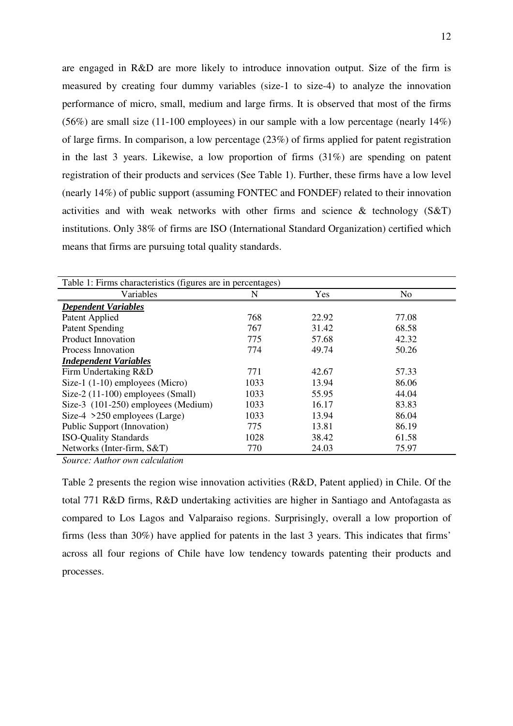are engaged in R&D are more likely to introduce innovation output. Size of the firm is measured by creating four dummy variables (size-1 to size-4) to analyze the innovation performance of micro, small, medium and large firms. It is observed that most of the firms (56%) are small size (11-100 employees) in our sample with a low percentage (nearly 14%) of large firms. In comparison, a low percentage (23%) of firms applied for patent registration in the last 3 years. Likewise, a low proportion of firms (31%) are spending on patent registration of their products and services (See Table 1). Further, these firms have a low level (nearly 14%) of public support (assuming FONTEC and FONDEF) related to their innovation activities and with weak networks with other firms and science & technology (S&T) institutions. Only 38% of firms are ISO (International Standard Organization) certified which means that firms are pursuing total quality standards.

| Table 1: Firms characteristics (figures are in percentages) |      |       |                |  |  |  |  |  |
|-------------------------------------------------------------|------|-------|----------------|--|--|--|--|--|
| Variables                                                   | N    | Yes   | N <sub>o</sub> |  |  |  |  |  |
| <b>Dependent Variables</b>                                  |      |       |                |  |  |  |  |  |
| Patent Applied                                              | 768  | 22.92 | 77.08          |  |  |  |  |  |
| <b>Patent Spending</b>                                      | 767  | 31.42 | 68.58          |  |  |  |  |  |
| <b>Product Innovation</b>                                   | 775  | 57.68 | 42.32          |  |  |  |  |  |
| Process Innovation                                          | 774  | 49.74 | 50.26          |  |  |  |  |  |
| <b>Independent Variables</b>                                |      |       |                |  |  |  |  |  |
| Firm Undertaking R&D                                        | 771  | 42.67 | 57.33          |  |  |  |  |  |
| Size-1 $(1-10)$ employees (Micro)                           | 1033 | 13.94 | 86.06          |  |  |  |  |  |
| Size- $2(11-100)$ employees (Small)                         | 1033 | 55.95 | 44.04          |  |  |  |  |  |
| Size-3 (101-250) employees (Medium)                         | 1033 | 16.17 | 83.83          |  |  |  |  |  |
| Size-4 $>250$ employees (Large)                             | 1033 | 13.94 | 86.04          |  |  |  |  |  |
| Public Support (Innovation)                                 | 775  | 13.81 | 86.19          |  |  |  |  |  |
| <b>ISO-Quality Standards</b>                                | 1028 | 38.42 | 61.58          |  |  |  |  |  |
| Networks (Inter-firm, S&T)                                  | 770  | 24.03 | 75.97          |  |  |  |  |  |

*Source: Author own calculation* 

Table 2 presents the region wise innovation activities (R&D, Patent applied) in Chile. Of the total 771 R&D firms, R&D undertaking activities are higher in Santiago and Antofagasta as compared to Los Lagos and Valparaiso regions. Surprisingly, overall a low proportion of firms (less than 30%) have applied for patents in the last 3 years. This indicates that firms' across all four regions of Chile have low tendency towards patenting their products and processes.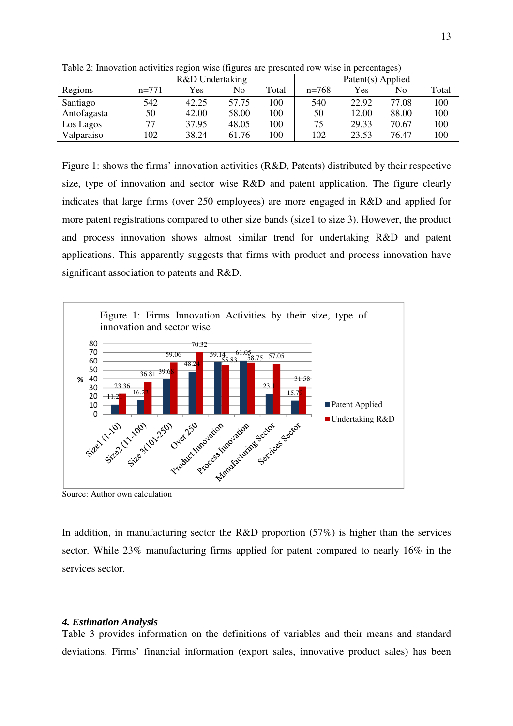| Table 2: Innovation activities region wise (figures are presented row wise in percentages) |                                                                 |       |       |     |                   |       |       |     |  |
|--------------------------------------------------------------------------------------------|-----------------------------------------------------------------|-------|-------|-----|-------------------|-------|-------|-----|--|
| R&D Undertaking                                                                            |                                                                 |       |       |     | Patent(s) Applied |       |       |     |  |
| Regions                                                                                    | $n=768$<br>No<br>$n=771$<br>Total<br>Yes<br>No.<br>Total<br>Yes |       |       |     |                   |       |       |     |  |
| Santiago                                                                                   | 542                                                             | 42.25 | 57.75 | 100 | 540               | 22.92 | 77.08 | 100 |  |
| Antofagasta                                                                                | 50                                                              | 42.00 | 58.00 | 100 | 50                | 12.00 | 88.00 | 100 |  |
| Los Lagos                                                                                  | 77                                                              | 37.95 | 48.05 | 100 | 75                | 29.33 | 70.67 | 100 |  |
| Valparaiso                                                                                 | 102                                                             | 38.24 | 61.76 | 100 | 102               | 23.53 | 76.47 | 100 |  |

Figure 1: shows the firms' innovation activities (R&D, Patents) distributed by their respective size, type of innovation and sector wise R&D and patent application. The figure clearly indicates that large firms (over 250 employees) are more engaged in R&D and applied for more patent registrations compared to other size bands (size1 to size 3). However, the product and process innovation shows almost similar trend for undertaking R&D and patent applications. This apparently suggests that firms with product and process innovation have significant association to patents and R&D.



Source: Author own calculation

In addition, in manufacturing sector the R&D proportion  $(57%)$  is higher than the services sector. While 23% manufacturing firms applied for patent compared to nearly 16% in the services sector.

## *4. Estimation Analysis*

Table 3 provides information on the definitions of variables and their means and standard deviations. Firms' financial information (export sales, innovative product sales) has been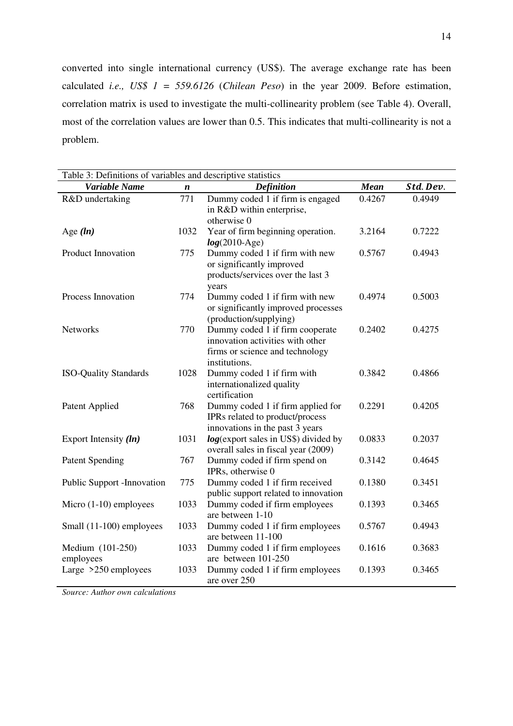converted into single international currency (US\$). The average exchange rate has been calculated *i.e., US\$ 1 = 559.6126* (*Chilean Peso*) in the year 2009. Before estimation, correlation matrix is used to investigate the multi-collinearity problem (see Table 4). Overall, most of the correlation values are lower than 0.5. This indicates that multi-collinearity is not a problem.

| Table 3: Definitions of variables and descriptive statistics |      |                                                                                                                         |             |          |  |  |
|--------------------------------------------------------------|------|-------------------------------------------------------------------------------------------------------------------------|-------------|----------|--|--|
| Variable Name                                                | n    | <b>Definition</b>                                                                                                       | <b>Mean</b> | Std.Dev. |  |  |
| R&D undertaking                                              | 771  | Dummy coded 1 if firm is engaged<br>in R&D within enterprise,<br>otherwise 0                                            | 0.4267      | 0.4949   |  |  |
| Age $(ln)$                                                   | 1032 | Year of firm beginning operation.<br>$log(2010-Age)$                                                                    | 3.2164      | 0.7222   |  |  |
| <b>Product Innovation</b>                                    | 775  | Dummy coded 1 if firm with new<br>or significantly improved<br>products/services over the last 3<br>years               | 0.5767      | 0.4943   |  |  |
| Process Innovation                                           | 774  | Dummy coded 1 if firm with new<br>or significantly improved processes<br>(production/supplying)                         | 0.4974      | 0.5003   |  |  |
| <b>Networks</b>                                              | 770  | Dummy coded 1 if firm cooperate<br>innovation activities with other<br>firms or science and technology<br>institutions. | 0.2402      | 0.4275   |  |  |
| <b>ISO-Quality Standards</b>                                 | 1028 | Dummy coded 1 if firm with<br>internationalized quality<br>certification                                                | 0.3842      | 0.4866   |  |  |
| Patent Applied                                               | 768  | Dummy coded 1 if firm applied for<br>IPRs related to product/process<br>innovations in the past 3 years                 | 0.2291      | 0.4205   |  |  |
| Export Intensity $(ln)$                                      | 1031 | <i>log</i> (export sales in US\$) divided by<br>overall sales in fiscal year (2009)                                     | 0.0833      | 0.2037   |  |  |
| <b>Patent Spending</b>                                       | 767  | Dummy coded if firm spend on<br>IPRs, otherwise 0                                                                       | 0.3142      | 0.4645   |  |  |
| <b>Public Support -Innovation</b>                            | 775  | Dummy coded 1 if firm received<br>public support related to innovation                                                  | 0.1380      | 0.3451   |  |  |
| Micro $(1-10)$ employees                                     | 1033 | Dummy coded if firm employees<br>are between 1-10                                                                       | 0.1393      | 0.3465   |  |  |
| Small (11-100) employees                                     | 1033 | Dummy coded 1 if firm employees<br>are between 11-100                                                                   | 0.5767      | 0.4943   |  |  |
| Medium (101-250)<br>employees                                | 1033 | Dummy coded 1 if firm employees<br>are between 101-250                                                                  | 0.1616      | 0.3683   |  |  |
| Large $>250$ employees                                       | 1033 | Dummy coded 1 if firm employees<br>are over 250                                                                         | 0.1393      | 0.3465   |  |  |

*Source: Author own calculations*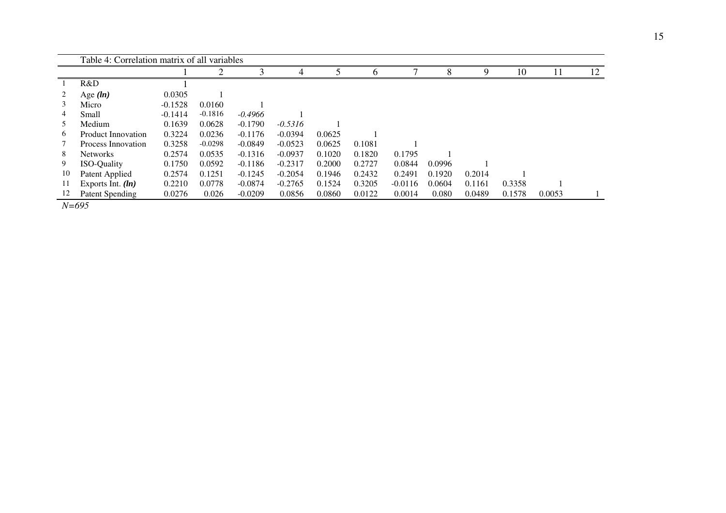|               | Table 4: Correlation matrix of all variables |           |                |           |           |        |              |           |        |        |        |        |    |
|---------------|----------------------------------------------|-----------|----------------|-----------|-----------|--------|--------------|-----------|--------|--------|--------|--------|----|
|               |                                              |           | $\overline{2}$ |           | 4         |        | <sub>0</sub> |           |        |        | 10     | 11     | 12 |
|               | R&D                                          |           |                |           |           |        |              |           |        |        |        |        |    |
| 2             | Age $(ln)$                                   | 0.0305    |                |           |           |        |              |           |        |        |        |        |    |
| 3             | Micro                                        | $-0.1528$ | 0.0160         |           |           |        |              |           |        |        |        |        |    |
| 4             | Small                                        | $-0.1414$ | $-0.1816$      | $-0.4966$ |           |        |              |           |        |        |        |        |    |
| $\mathcal{L}$ | Medium                                       | 0.1639    | 0.0628         | $-0.1790$ | $-0.5316$ |        |              |           |        |        |        |        |    |
| 6             | Product Innovation                           | 0.3224    | 0.0236         | $-0.1176$ | $-0.0394$ | 0.0625 |              |           |        |        |        |        |    |
|               | Process Innovation                           | 0.3258    | $-0.0298$      | $-0.0849$ | $-0.0523$ | 0.0625 | 0.1081       |           |        |        |        |        |    |
| 8             | <b>Networks</b>                              | 0.2574    | 0.0535         | $-0.1316$ | $-0.0937$ | 0.1020 | 0.1820       | 0.1795    |        |        |        |        |    |
| 9             | <b>ISO-Quality</b>                           | 0.1750    | 0.0592         | $-0.1186$ | $-0.2317$ | 0.2000 | 0.2727       | 0.0844    | 0.0996 |        |        |        |    |
| 10            | Patent Applied                               | 0.2574    | 0.1251         | $-0.1245$ | $-0.2054$ | 0.1946 | 0.2432       | 0.2491    | 0.1920 | 0.2014 |        |        |    |
| 11            | Exports Int. $(ln)$                          | 0.2210    | 0.0778         | $-0.0874$ | $-0.2765$ | 0.1524 | 0.3205       | $-0.0116$ | 0.0604 | 0.1161 | 0.3358 |        |    |
| 12            | Patent Spending                              | 0.0276    | 0.026          | $-0.0209$ | 0.0856    | 0.0860 | 0.0122       | 0.0014    | 0.080  | 0.0489 | 0.1578 | 0.0053 |    |

*N=695*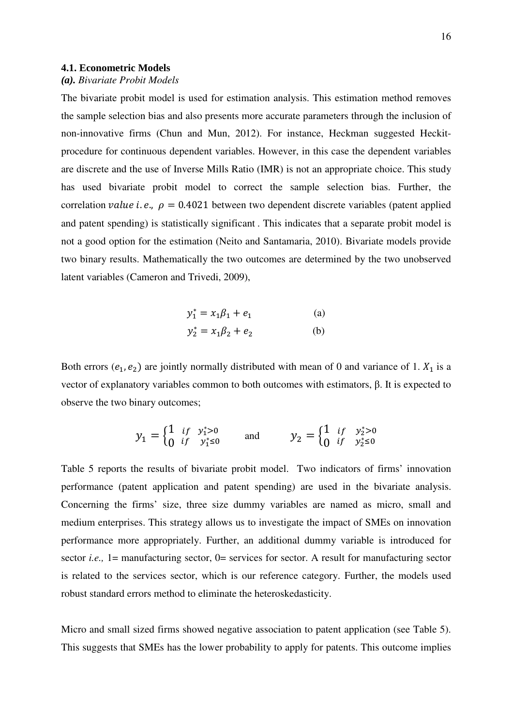#### **4.1. Econometric Models**

## *(a). Bivariate Probit Models*

The bivariate probit model is used for estimation analysis. This estimation method removes the sample selection bias and also presents more accurate parameters through the inclusion of non-innovative firms (Chun and Mun, 2012). For instance, Heckman suggested Heckitprocedure for continuous dependent variables. However, in this case the dependent variables are discrete and the use of Inverse Mills Ratio (IMR) is not an appropriate choice. This study has used bivariate probit model to correct the sample selection bias. Further, the correlation *value i.e.*,  $\rho = 0.4021$  between two dependent discrete variables (patent applied and patent spending) is statistically significant . This indicates that a separate probit model is not a good option for the estimation (Neito and Santamaria, 2010). Bivariate models provide two binary results. Mathematically the two outcomes are determined by the two unobserved latent variables (Cameron and Trivedi, 2009),

$$
y_1^* = x_1 \beta_1 + e_1
$$
 (a)  

$$
y_2^* = x_1 \beta_2 + e_2
$$
 (b)

Both errors  $(e_1, e_2)$  are jointly normally distributed with mean of 0 and variance of 1.  $X_1$  is a vector of explanatory variables common to both outcomes with estimators, β. It is expected to observe the two binary outcomes;

$$
y_1 = \begin{cases} 1 & \text{if } y_1^* > 0 \\ 0 & \text{if } y_1^* \le 0 \end{cases} \quad \text{and} \quad y_2 = \begin{cases} 1 & \text{if } y_2^* > 0 \\ 0 & \text{if } y_2^* \le 0 \end{cases}
$$

Table 5 reports the results of bivariate probit model. Two indicators of firms' innovation performance (patent application and patent spending) are used in the bivariate analysis. Concerning the firms' size, three size dummy variables are named as micro, small and medium enterprises. This strategy allows us to investigate the impact of SMEs on innovation performance more appropriately. Further, an additional dummy variable is introduced for sector *i.e.*, 1= manufacturing sector, 0= services for sector. A result for manufacturing sector is related to the services sector, which is our reference category. Further, the models used robust standard errors method to eliminate the heteroskedasticity.

Micro and small sized firms showed negative association to patent application (see Table 5). This suggests that SMEs has the lower probability to apply for patents. This outcome implies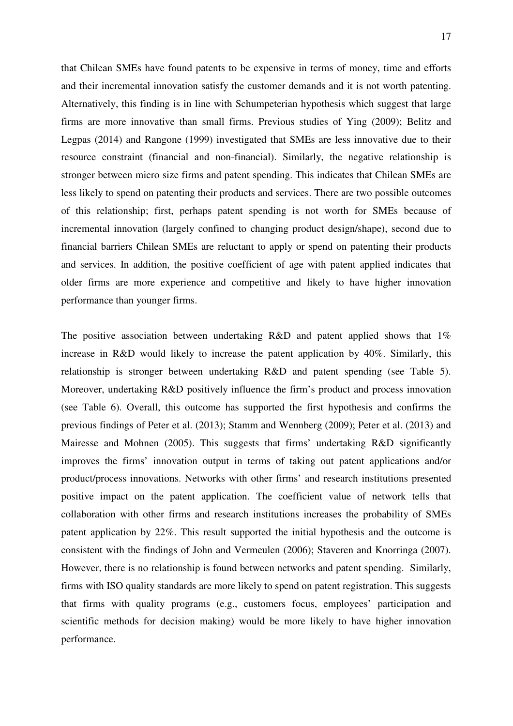that Chilean SMEs have found patents to be expensive in terms of money, time and efforts and their incremental innovation satisfy the customer demands and it is not worth patenting. Alternatively, this finding is in line with Schumpeterian hypothesis which suggest that large firms are more innovative than small firms. Previous studies of Ying (2009); Belitz and Legpas (2014) and Rangone (1999) investigated that SMEs are less innovative due to their resource constraint (financial and non-financial). Similarly, the negative relationship is stronger between micro size firms and patent spending. This indicates that Chilean SMEs are less likely to spend on patenting their products and services. There are two possible outcomes of this relationship; first, perhaps patent spending is not worth for SMEs because of incremental innovation (largely confined to changing product design/shape), second due to financial barriers Chilean SMEs are reluctant to apply or spend on patenting their products and services. In addition, the positive coefficient of age with patent applied indicates that older firms are more experience and competitive and likely to have higher innovation performance than younger firms.

The positive association between undertaking R&D and patent applied shows that 1% increase in R&D would likely to increase the patent application by 40%. Similarly, this relationship is stronger between undertaking R&D and patent spending (see Table 5). Moreover, undertaking R&D positively influence the firm's product and process innovation (see Table 6). Overall, this outcome has supported the first hypothesis and confirms the previous findings of Peter et al. (2013); Stamm and Wennberg (2009); Peter et al. (2013) and Mairesse and Mohnen (2005). This suggests that firms' undertaking R&D significantly improves the firms' innovation output in terms of taking out patent applications and/or product/process innovations. Networks with other firms' and research institutions presented positive impact on the patent application. The coefficient value of network tells that collaboration with other firms and research institutions increases the probability of SMEs patent application by 22%. This result supported the initial hypothesis and the outcome is consistent with the findings of John and Vermeulen (2006); Staveren and Knorringa (2007). However, there is no relationship is found between networks and patent spending. Similarly, firms with ISO quality standards are more likely to spend on patent registration. This suggests that firms with quality programs (e.g., customers focus, employees' participation and scientific methods for decision making) would be more likely to have higher innovation performance.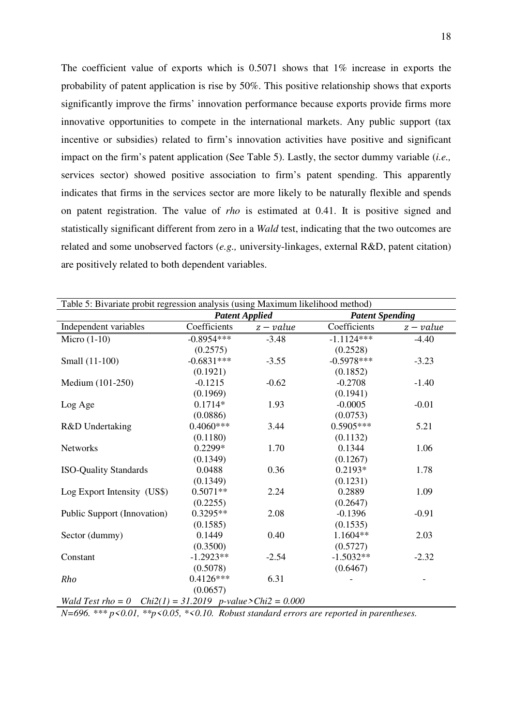The coefficient value of exports which is 0.5071 shows that 1% increase in exports the probability of patent application is rise by 50%. This positive relationship shows that exports significantly improve the firms' innovation performance because exports provide firms more innovative opportunities to compete in the international markets. Any public support (tax incentive or subsidies) related to firm's innovation activities have positive and significant impact on the firm's patent application (See Table 5). Lastly, the sector dummy variable (*i.e.,* services sector) showed positive association to firm's patent spending. This apparently indicates that firms in the services sector are more likely to be naturally flexible and spends on patent registration. The value of *rho* is estimated at 0.41. It is positive signed and statistically significant different from zero in a *Wald* test, indicating that the two outcomes are related and some unobserved factors (*e.g.,* university-linkages, external R&D, patent citation) are positively related to both dependent variables.

| Table 5: Bivariate probit regression analysis (using Maximum likelihood method) |                       |           |                        |           |  |  |  |  |
|---------------------------------------------------------------------------------|-----------------------|-----------|------------------------|-----------|--|--|--|--|
|                                                                                 | <b>Patent Applied</b> |           | <b>Patent Spending</b> |           |  |  |  |  |
| Independent variables                                                           | Coefficients          | $z-value$ | Coefficients           | $z-value$ |  |  |  |  |
| Micro $(1-10)$                                                                  | $-0.8954***$          | $-3.48$   | $-1.1124***$           | $-4.40$   |  |  |  |  |
|                                                                                 | (0.2575)              |           | (0.2528)               |           |  |  |  |  |
| Small (11-100)                                                                  | $-0.6831***$          | $-3.55$   | $-0.5978***$           | $-3.23$   |  |  |  |  |
|                                                                                 | (0.1921)              |           | (0.1852)               |           |  |  |  |  |
| Medium (101-250)                                                                | $-0.1215$             | $-0.62$   | $-0.2708$              | $-1.40$   |  |  |  |  |
|                                                                                 | (0.1969)              |           | (0.1941)               |           |  |  |  |  |
| Log Age                                                                         | $0.1714*$             | 1.93      | $-0.0005$              | $-0.01$   |  |  |  |  |
|                                                                                 | (0.0886)              |           | (0.0753)               |           |  |  |  |  |
| R&D Undertaking                                                                 | $0.4060***$           | 3.44      | 0.5905***              | 5.21      |  |  |  |  |
|                                                                                 | (0.1180)              |           | (0.1132)               |           |  |  |  |  |
| <b>Networks</b>                                                                 | 0.2299*               | 1.70      | 0.1344                 | 1.06      |  |  |  |  |
|                                                                                 | (0.1349)              |           | (0.1267)               |           |  |  |  |  |
| <b>ISO-Quality Standards</b>                                                    | 0.0488                | 0.36      | $0.2193*$              | 1.78      |  |  |  |  |
|                                                                                 | (0.1349)              |           | (0.1231)               |           |  |  |  |  |
| Log Export Intensity (US\$)                                                     | $0.5071**$            | 2.24      | 0.2889                 | 1.09      |  |  |  |  |
|                                                                                 | (0.2255)              |           | (0.2647)               |           |  |  |  |  |
| Public Support (Innovation)                                                     | $0.3295**$            | 2.08      | $-0.1396$              | $-0.91$   |  |  |  |  |
|                                                                                 | (0.1585)              |           | (0.1535)               |           |  |  |  |  |
| Sector (dummy)                                                                  | 0.1449                | 0.40      | $1.1604**$             | 2.03      |  |  |  |  |
|                                                                                 | (0.3500)              |           | (0.5727)               |           |  |  |  |  |
| Constant                                                                        | $-1.2923**$           | $-2.54$   | $-1.5032**$            | $-2.32$   |  |  |  |  |
|                                                                                 | (0.5078)              |           | (0.6467)               |           |  |  |  |  |
| Rho                                                                             | $0.4126***$           | 6.31      |                        |           |  |  |  |  |
|                                                                                 | (0.0657)              |           |                        |           |  |  |  |  |
| Wald Test rho = 0 $Chi2(1) = 31.2019$ p-value>Chi2 = 0.000                      |                       |           |                        |           |  |  |  |  |

*N=696. \*\*\* p<0.01, \*\*p<0.05, \*<0.10. Robust standard errors are reported in parentheses.*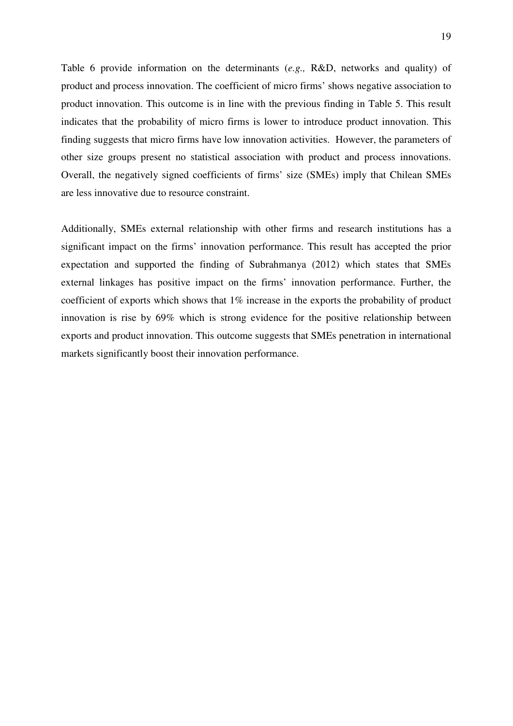Table 6 provide information on the determinants (*e.g.,* R&D, networks and quality) of product and process innovation. The coefficient of micro firms' shows negative association to product innovation. This outcome is in line with the previous finding in Table 5. This result indicates that the probability of micro firms is lower to introduce product innovation. This finding suggests that micro firms have low innovation activities. However, the parameters of other size groups present no statistical association with product and process innovations. Overall, the negatively signed coefficients of firms' size (SMEs) imply that Chilean SMEs are less innovative due to resource constraint.

Additionally, SMEs external relationship with other firms and research institutions has a significant impact on the firms' innovation performance. This result has accepted the prior expectation and supported the finding of Subrahmanya (2012) which states that SMEs external linkages has positive impact on the firms' innovation performance. Further, the coefficient of exports which shows that 1% increase in the exports the probability of product innovation is rise by 69% which is strong evidence for the positive relationship between exports and product innovation. This outcome suggests that SMEs penetration in international markets significantly boost their innovation performance.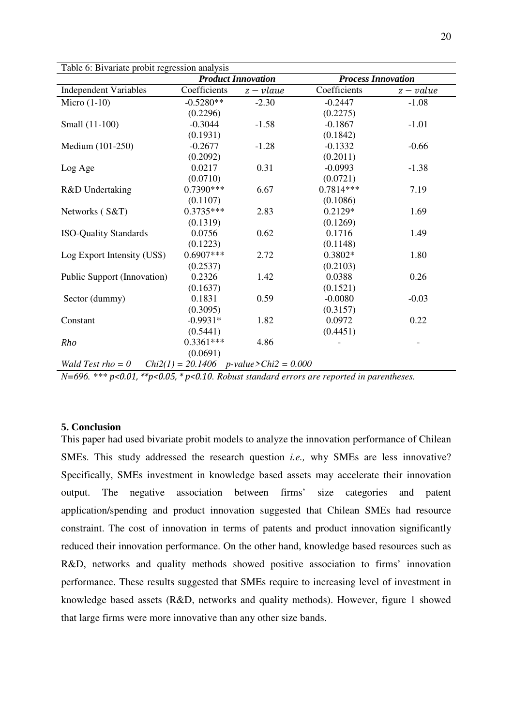| I able 6: Bivariate probit regression analysis |              |                                                    |                           |           |  |  |  |  |  |
|------------------------------------------------|--------------|----------------------------------------------------|---------------------------|-----------|--|--|--|--|--|
|                                                |              | <b>Product Innovation</b>                          | <b>Process Innovation</b> |           |  |  |  |  |  |
| <b>Independent Variables</b>                   | Coefficients | $z - v$ laue                                       | Coefficients              | $z-value$ |  |  |  |  |  |
| Micro $(1-10)$                                 | $-0.5280**$  | $-2.30$                                            | $-0.2447$                 | $-1.08$   |  |  |  |  |  |
|                                                | (0.2296)     |                                                    | (0.2275)                  |           |  |  |  |  |  |
| Small (11-100)                                 | $-0.3044$    | $-1.58$                                            | $-0.1867$                 | $-1.01$   |  |  |  |  |  |
|                                                | (0.1931)     |                                                    | (0.1842)                  |           |  |  |  |  |  |
| Medium (101-250)                               | $-0.2677$    | $-1.28$                                            | $-0.1332$                 | $-0.66$   |  |  |  |  |  |
|                                                | (0.2092)     |                                                    | (0.2011)                  |           |  |  |  |  |  |
| Log Age                                        | 0.0217       | 0.31                                               | $-0.0993$                 | $-1.38$   |  |  |  |  |  |
|                                                | (0.0710)     |                                                    | (0.0721)                  |           |  |  |  |  |  |
| R&D Undertaking                                | $0.7390***$  | 6.67                                               | 0.7814***                 | 7.19      |  |  |  |  |  |
|                                                | (0.1107)     |                                                    | (0.1086)                  |           |  |  |  |  |  |
| Networks (S&T)                                 | $0.3735***$  | 2.83                                               | $0.2129*$                 | 1.69      |  |  |  |  |  |
|                                                | (0.1319)     |                                                    | (0.1269)                  |           |  |  |  |  |  |
| <b>ISO-Quality Standards</b>                   | 0.0756       | 0.62                                               | 0.1716                    | 1.49      |  |  |  |  |  |
|                                                | (0.1223)     |                                                    | (0.1148)                  |           |  |  |  |  |  |
| Log Export Intensity (US\$)                    | $0.6907***$  | 2.72                                               | $0.3802*$                 | 1.80      |  |  |  |  |  |
|                                                | (0.2537)     |                                                    | (0.2103)                  |           |  |  |  |  |  |
| Public Support (Innovation)                    | 0.2326       | 1.42                                               | 0.0388                    | 0.26      |  |  |  |  |  |
|                                                | (0.1637)     |                                                    | (0.1521)                  |           |  |  |  |  |  |
| Sector (dummy)                                 | 0.1831       | 0.59                                               | $-0.0080$                 | $-0.03$   |  |  |  |  |  |
|                                                | (0.3095)     |                                                    | (0.3157)                  |           |  |  |  |  |  |
| Constant                                       | $-0.9931*$   | 1.82                                               | 0.0972                    | 0.22      |  |  |  |  |  |
|                                                | (0.5441)     |                                                    | (0.4451)                  |           |  |  |  |  |  |
| Rho                                            | $0.3361***$  | 4.86                                               |                           |           |  |  |  |  |  |
|                                                | (0.0691)     |                                                    |                           |           |  |  |  |  |  |
| Wald Test $rho = 0$                            |              | $Chi2(1) = 20.1406$ <i>p-value&gt;Chi2</i> = 0.000 |                           |           |  |  |  |  |  |

Table 6: Bivariate probit regression analysis

*N=696. \*\*\* p<0.01, \*\*p<0.05, \* p<0.10. Robust standard errors are reported in parentheses.* 

## **5. Conclusion**

This paper had used bivariate probit models to analyze the innovation performance of Chilean SMEs. This study addressed the research question *i.e.,* why SMEs are less innovative? Specifically, SMEs investment in knowledge based assets may accelerate their innovation output. The negative association between firms' size categories and patent application/spending and product innovation suggested that Chilean SMEs had resource constraint. The cost of innovation in terms of patents and product innovation significantly reduced their innovation performance. On the other hand, knowledge based resources such as R&D, networks and quality methods showed positive association to firms' innovation performance. These results suggested that SMEs require to increasing level of investment in knowledge based assets (R&D, networks and quality methods). However, figure 1 showed that large firms were more innovative than any other size bands.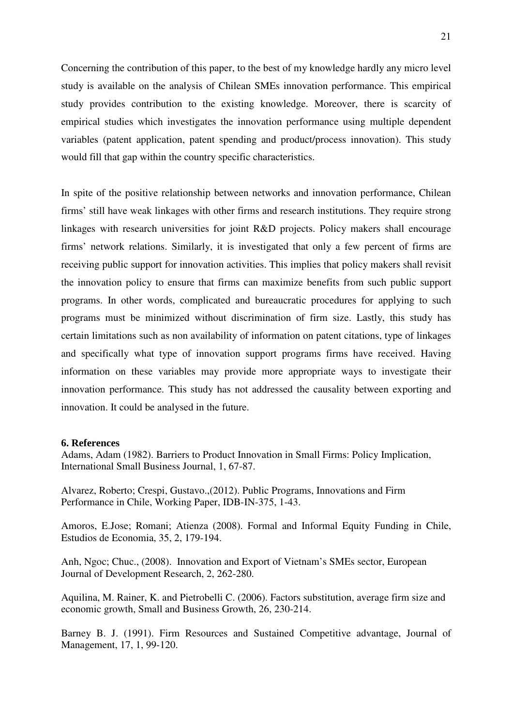Concerning the contribution of this paper, to the best of my knowledge hardly any micro level study is available on the analysis of Chilean SMEs innovation performance. This empirical study provides contribution to the existing knowledge. Moreover, there is scarcity of empirical studies which investigates the innovation performance using multiple dependent variables (patent application, patent spending and product/process innovation). This study would fill that gap within the country specific characteristics.

In spite of the positive relationship between networks and innovation performance, Chilean firms' still have weak linkages with other firms and research institutions. They require strong linkages with research universities for joint R&D projects. Policy makers shall encourage firms' network relations. Similarly, it is investigated that only a few percent of firms are receiving public support for innovation activities. This implies that policy makers shall revisit the innovation policy to ensure that firms can maximize benefits from such public support programs. In other words, complicated and bureaucratic procedures for applying to such programs must be minimized without discrimination of firm size. Lastly, this study has certain limitations such as non availability of information on patent citations, type of linkages and specifically what type of innovation support programs firms have received. Having information on these variables may provide more appropriate ways to investigate their innovation performance. This study has not addressed the causality between exporting and innovation. It could be analysed in the future.

#### **6. References**

Adams, Adam (1982). Barriers to Product Innovation in Small Firms: Policy Implication, International Small Business Journal, 1, 67-87.

Alvarez, Roberto; Crespi, Gustavo.,(2012). Public Programs, Innovations and Firm Performance in Chile, Working Paper, IDB-IN-375, 1-43.

Amoros, E.Jose; Romani; Atienza (2008). Formal and Informal Equity Funding in Chile, Estudios de Economia, 35, 2, 179-194.

Anh, Ngoc; Chuc., (2008). Innovation and Export of Vietnam's SMEs sector, European Journal of Development Research, 2, 262-280.

Aquilina, M. Rainer, K. and Pietrobelli C. (2006). Factors substitution, average firm size and economic growth, Small and Business Growth, 26, 230-214.

Barney B. J. (1991). Firm Resources and Sustained Competitive advantage, Journal of Management, 17, 1, 99-120.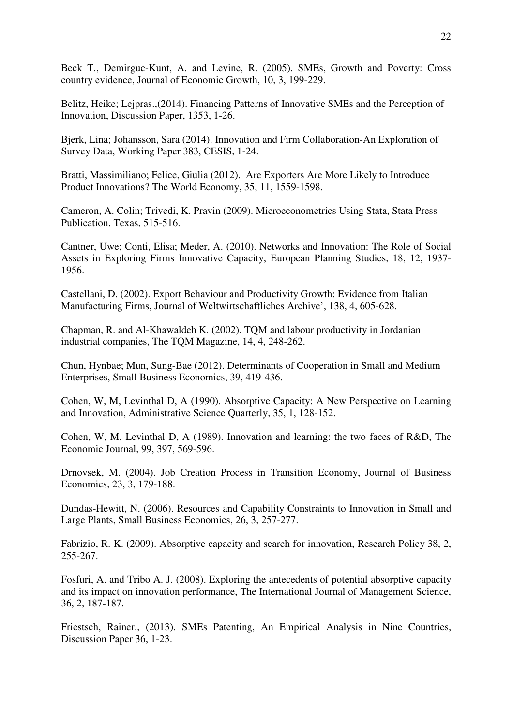Beck T., Demirguc-Kunt, A. and Levine, R. (2005). SMEs, Growth and Poverty: Cross country evidence, Journal of Economic Growth, 10, 3, 199-229.

Belitz, Heike; Lejpras.,(2014). Financing Patterns of Innovative SMEs and the Perception of Innovation, Discussion Paper, 1353, 1-26.

Bjerk, Lina; Johansson, Sara (2014). Innovation and Firm Collaboration-An Exploration of Survey Data, Working Paper 383, CESIS, 1-24.

Bratti, Massimiliano; Felice, Giulia (2012). Are Exporters Are More Likely to Introduce Product Innovations? The World Economy, 35, 11, 1559-1598.

Cameron, A. Colin; Trivedi, K. Pravin (2009). Microeconometrics Using Stata, Stata Press Publication, Texas, 515-516.

Cantner, Uwe; Conti, Elisa; Meder, A. (2010). Networks and Innovation: The Role of Social Assets in Exploring Firms Innovative Capacity, European Planning Studies, 18, 12, 1937- 1956.

Castellani, D. (2002). Export Behaviour and Productivity Growth: Evidence from Italian Manufacturing Firms, Journal of Weltwirtschaftliches Archive', 138, 4, 605-628.

Chapman, R. and Al-Khawaldeh K. (2002). TQM and labour productivity in Jordanian industrial companies, The TQM Magazine, 14, 4, 248-262.

Chun, Hynbae; Mun, Sung-Bae (2012). Determinants of Cooperation in Small and Medium Enterprises, Small Business Economics, 39, 419-436.

Cohen, W, M, Levinthal D, A (1990). Absorptive Capacity: A New Perspective on Learning and Innovation, Administrative Science Quarterly, 35, 1, 128-152.

Cohen, W, M, Levinthal D, A (1989). Innovation and learning: the two faces of R&D, The Economic Journal, 99, 397, 569-596.

Drnovsek, M. (2004). Job Creation Process in Transition Economy, Journal of Business Economics, 23, 3, 179-188.

Dundas-Hewitt, N. (2006). Resources and Capability Constraints to Innovation in Small and Large Plants, Small Business Economics, 26, 3, 257-277.

Fabrizio, R. K. (2009). Absorptive capacity and search for innovation, Research Policy 38, 2, 255-267.

Fosfuri, A. and Tribo A. J. (2008). Exploring the antecedents of potential absorptive capacity and its impact on innovation performance, The International Journal of Management Science, 36, 2, 187-187.

Friestsch, Rainer., (2013). SMEs Patenting, An Empirical Analysis in Nine Countries, Discussion Paper 36, 1-23.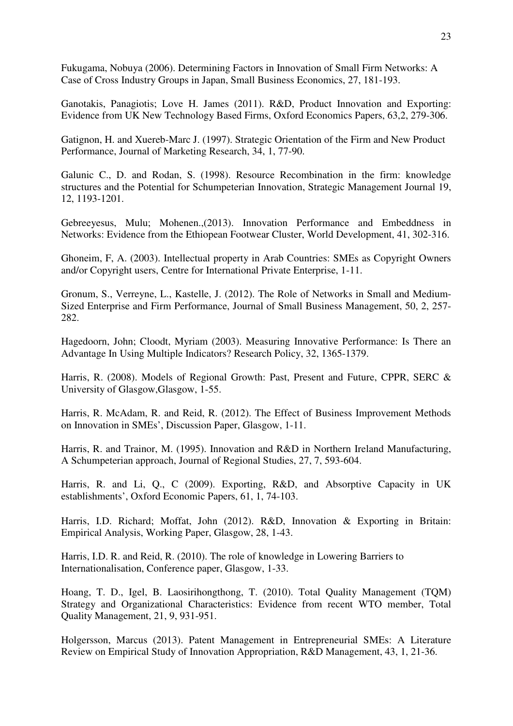Fukugama, Nobuya (2006). Determining Factors in Innovation of Small Firm Networks: A Case of Cross Industry Groups in Japan, Small Business Economics, 27, 181-193.

Ganotakis, Panagiotis; Love H. James (2011). R&D, Product Innovation and Exporting: Evidence from UK New Technology Based Firms, Oxford Economics Papers, 63,2, 279-306.

Gatignon, H. and Xuereb-Marc J. (1997). Strategic Orientation of the Firm and New Product Performance, Journal of Marketing Research, 34, 1, 77-90.

Galunic C., D. and Rodan, S. (1998). Resource Recombination in the firm: knowledge structures and the Potential for Schumpeterian Innovation, Strategic Management Journal 19, 12, 1193-1201.

Gebreeyesus, Mulu; Mohenen.,(2013). Innovation Performance and Embeddness in Networks: Evidence from the Ethiopean Footwear Cluster, World Development, 41, 302-316.

Ghoneim, F, A. (2003). Intellectual property in Arab Countries: SMEs as Copyright Owners and/or Copyright users, Centre for International Private Enterprise, 1-11.

Gronum, S., Verreyne, L., Kastelle, J. (2012). The Role of Networks in Small and Medium-Sized Enterprise and Firm Performance, Journal of Small Business Management, 50, 2, 257- 282.

Hagedoorn, John; Cloodt, Myriam (2003). Measuring Innovative Performance: Is There an Advantage In Using Multiple Indicators? Research Policy, 32, 1365-1379.

Harris, R. (2008). Models of Regional Growth: Past, Present and Future, CPPR, SERC & University of Glasgow,Glasgow, 1-55.

Harris, R. McAdam, R. and Reid, R. (2012). The Effect of Business Improvement Methods on Innovation in SMEs', Discussion Paper, Glasgow, 1-11.

Harris, R. and Trainor, M. (1995). Innovation and R&D in Northern Ireland Manufacturing, A Schumpeterian approach, Journal of Regional Studies, 27, 7, 593-604.

Harris, R. and Li, Q., C (2009). Exporting, R&D, and Absorptive Capacity in UK establishments', Oxford Economic Papers, 61, 1, 74-103.

Harris, I.D. Richard; Moffat, John (2012). R&D, Innovation & Exporting in Britain: Empirical Analysis, Working Paper, Glasgow, 28, 1-43.

Harris, I.D. R. and Reid, R. (2010). The role of knowledge in Lowering Barriers to Internationalisation, Conference paper, Glasgow, 1-33.

Hoang, T. D., Igel, B. Laosirihongthong, T. (2010). Total Quality Management (TQM) Strategy and Organizational Characteristics: Evidence from recent WTO member, Total Quality Management, 21, 9, 931-951.

Holgersson, Marcus (2013). Patent Management in Entrepreneurial SMEs: A Literature Review on Empirical Study of Innovation Appropriation, R&D Management, 43, 1, 21-36.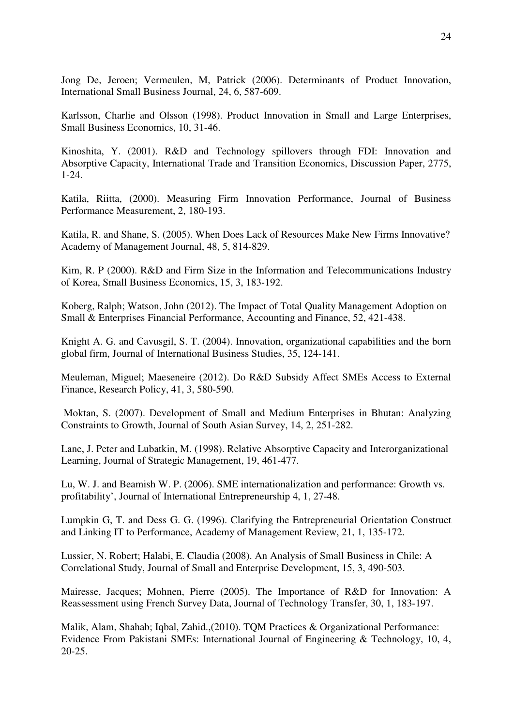Jong De, Jeroen; Vermeulen, M, Patrick (2006). Determinants of Product Innovation, International Small Business Journal, 24, 6, 587-609.

Karlsson, Charlie and Olsson (1998). Product Innovation in Small and Large Enterprises, Small Business Economics, 10, 31-46.

Kinoshita, Y. (2001). R&D and Technology spillovers through FDI: Innovation and Absorptive Capacity, International Trade and Transition Economics, Discussion Paper, 2775, 1-24.

Katila, Riitta, (2000). Measuring Firm Innovation Performance, Journal of Business Performance Measurement, 2, 180-193.

Katila, R. and Shane, S. (2005). When Does Lack of Resources Make New Firms Innovative? Academy of Management Journal, 48, 5, 814-829.

Kim, R. P (2000). R&D and Firm Size in the Information and Telecommunications Industry of Korea, Small Business Economics, 15, 3, 183-192.

Koberg, Ralph; Watson, John (2012). The Impact of Total Quality Management Adoption on Small & Enterprises Financial Performance, Accounting and Finance, 52, 421-438.

Knight A. G. and Cavusgil, S. T. (2004). Innovation, organizational capabilities and the born global firm, Journal of International Business Studies, 35, 124-141.

Meuleman, Miguel; Maeseneire (2012). Do R&D Subsidy Affect SMEs Access to External Finance, Research Policy, 41, 3, 580-590.

 Moktan, S. (2007). Development of Small and Medium Enterprises in Bhutan: Analyzing Constraints to Growth, Journal of South Asian Survey, 14, 2, 251-282.

Lane, J. Peter and Lubatkin, M. (1998). Relative Absorptive Capacity and Interorganizational Learning, Journal of Strategic Management, 19, 461-477.

Lu, W. J. and Beamish W. P. (2006). SME internationalization and performance: Growth vs. profitability', Journal of International Entrepreneurship 4, 1, 27-48.

Lumpkin G, T. and Dess G. G. (1996). Clarifying the Entrepreneurial Orientation Construct and Linking IT to Performance, Academy of Management Review, 21, 1, 135-172.

Lussier, N. Robert; Halabi, E. Claudia (2008). An Analysis of Small Business in Chile: A Correlational Study, Journal of Small and Enterprise Development, 15, 3, 490-503.

Mairesse, Jacques; Mohnen, Pierre (2005). The Importance of R&D for Innovation: A Reassessment using French Survey Data, Journal of Technology Transfer, 30, 1, 183-197.

Malik, Alam, Shahab; Iqbal, Zahid.,(2010). TQM Practices & Organizational Performance: Evidence From Pakistani SMEs: International Journal of Engineering & Technology, 10, 4, 20-25.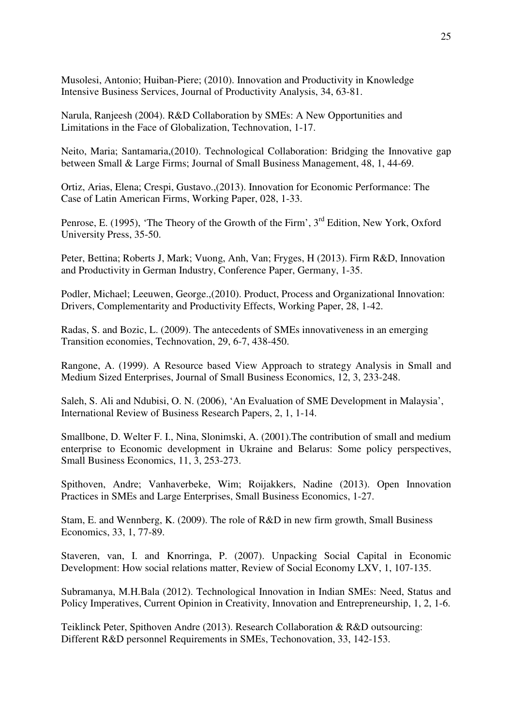Musolesi, Antonio; Huiban-Piere; (2010). Innovation and Productivity in Knowledge Intensive Business Services, Journal of Productivity Analysis, 34, 63-81.

Narula, Ranjeesh (2004). R&D Collaboration by SMEs: A New Opportunities and Limitations in the Face of Globalization, Technovation, 1-17.

Neito, Maria; Santamaria,(2010). Technological Collaboration: Bridging the Innovative gap between Small & Large Firms; Journal of Small Business Management, 48, 1, 44-69.

Ortiz, Arias, Elena; Crespi, Gustavo.,(2013). Innovation for Economic Performance: The Case of Latin American Firms, Working Paper, 028, 1-33.

Penrose, E. (1995), 'The Theory of the Growth of the Firm', 3<sup>rd</sup> Edition, New York, Oxford University Press, 35-50.

Peter, Bettina; Roberts J, Mark; Vuong, Anh, Van; Fryges, H (2013). Firm R&D, Innovation and Productivity in German Industry, Conference Paper, Germany, 1-35.

Podler, Michael; Leeuwen, George.,(2010). Product, Process and Organizational Innovation: Drivers, Complementarity and Productivity Effects, Working Paper, 28, 1-42.

Radas, S. and Bozic, L. (2009). The antecedents of SMEs innovativeness in an emerging Transition economies, Technovation, 29, 6-7, 438-450.

Rangone, A. (1999). A Resource based View Approach to strategy Analysis in Small and Medium Sized Enterprises, Journal of Small Business Economics, 12, 3, 233-248.

Saleh, S. Ali and Ndubisi, O. N. (2006), 'An Evaluation of SME Development in Malaysia', International Review of Business Research Papers, 2, 1, 1-14.

Smallbone, D. Welter F. I., Nina, Slonimski, A. (2001).The contribution of small and medium enterprise to Economic development in Ukraine and Belarus: Some policy perspectives, Small Business Economics, 11, 3, 253-273.

Spithoven, Andre; Vanhaverbeke, Wim; Roijakkers, Nadine (2013). Open Innovation Practices in SMEs and Large Enterprises, Small Business Economics, 1-27.

Stam, E. and Wennberg, K. (2009). The role of R&D in new firm growth, Small Business Economics, 33, 1, 77-89.

Staveren, van, I. and Knorringa, P. (2007). Unpacking Social Capital in Economic Development: How social relations matter, Review of Social Economy LXV, 1, 107-135.

Subramanya, M.H.Bala (2012). Technological Innovation in Indian SMEs: Need, Status and Policy Imperatives, Current Opinion in Creativity, Innovation and Entrepreneurship, 1, 2, 1-6.

Teiklinck Peter, Spithoven Andre (2013). Research Collaboration & R&D outsourcing: Different R&D personnel Requirements in SMEs, Techonovation, 33, 142-153.